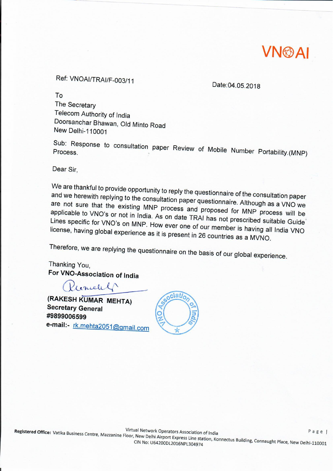

# Ref: VNOAI/TRAI/F-003/11

Date:04.05.2018

To

The Secretary Telecom Authority of India Doorsanchar Bhawan, Old Minto Road New Delhi-110001

Sub: Response to consultation paper Review of Mobile Number Portability.(MNP)

Dear Sir,

We are thankful to provide opportunity to reply the questionnaire of the consultation paper and we herewith replying to the consultation paper questionnaire. Although as a VNO we are not sure that the existing MNP process and proposed for MNP process will be applicable to VNO's or not in India. As on date TRAI has not prescribed suitable Guide Lines specific for VNO's on MNP. How ever one of our member is having all India VNO license, having global experience as it is present in 26 countries as a MVNO.

Therefore, we are replying the questionnaire on the basis of our global experience.

Thanking You, For VNO-Association of India

Kenneth

(RAKESH KUMAR MEHTA) **Secretary General** #9899006599 e-mail:- rk.mehta2051@gmail.com

 $\alpha$ ciati $\alpha$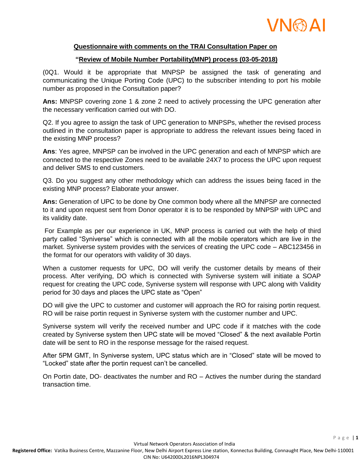

#### **Questionnaire with comments on the TRAI Consultation Paper on**

#### **"Review of Mobile Number Portability(MNP) process (03-05-2018)**

(0Q1. Would it be appropriate that MNPSP be assigned the task of generating and communicating the Unique Porting Code (UPC) to the subscriber intending to port his mobile number as proposed in the Consultation paper?

**Ans:** MNPSP covering zone 1 & zone 2 need to actively processing the UPC generation after the necessary verification carried out with DO.

Q2. If you agree to assign the task of UPC generation to MNPSPs, whether the revised process outlined in the consultation paper is appropriate to address the relevant issues being faced in the existing MNP process?

**Ans**: Yes agree, MNPSP can be involved in the UPC generation and each of MNPSP which are connected to the respective Zones need to be available 24X7 to process the UPC upon request and deliver SMS to end customers.

Q3. Do you suggest any other methodology which can address the issues being faced in the existing MNP process? Elaborate your answer.

**Ans:** Generation of UPC to be done by One common body where all the MNPSP are connected to it and upon request sent from Donor operator it is to be responded by MNPSP with UPC and its validity date.

For Example as per our experience in UK, MNP process is carried out with the help of third party called "Syniverse" which is connected with all the mobile operators which are live in the market. Syniverse system provides with the services of creating the UPC code – ABC123456 in the format for our operators with validity of 30 days.

When a customer requests for UPC, DO will verify the customer details by means of their process. After verifying, DO which is connected with Syniverse system will initiate a SOAP request for creating the UPC code, Syniverse system will response with UPC along with Validity period for 30 days and places the UPC state as "Open"

DO will give the UPC to customer and customer will approach the RO for raising portin request. RO will be raise portin request in Syniverse system with the customer number and UPC.

Syniverse system will verify the received number and UPC code if it matches with the code created by Syniverse system then UPC state will be moved "Closed" & the next available Portin date will be sent to RO in the response message for the raised request.

After 5PM GMT, In Syniverse system, UPC status which are in "Closed" state will be moved to "Locked" state after the portin request can't be cancelled.

On Portin date, DO- deactivates the number and RO – Actives the number during the standard transaction time.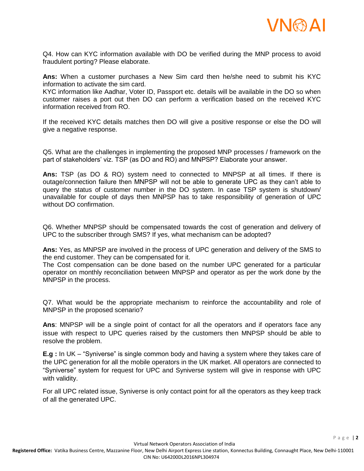

Q4. How can KYC information available with DO be verified during the MNP process to avoid fraudulent porting? Please elaborate.

**Ans:** When a customer purchases a New Sim card then he/she need to submit his KYC information to activate the sim card.

KYC information like Aadhar, Voter ID, Passport etc. details will be available in the DO so when customer raises a port out then DO can perform a verification based on the received KYC information received from RO.

If the received KYC details matches then DO will give a positive response or else the DO will give a negative response.

Q5. What are the challenges in implementing the proposed MNP processes / framework on the part of stakeholders' viz. TSP (as DO and RO) and MNPSP? Elaborate your answer.

**Ans:** TSP (as DO & RO) system need to connected to MNPSP at all times. If there is outage/connection failure then MNPSP will not be able to generate UPC as they can't able to query the status of customer number in the DO system. In case TSP system is shutdown/ unavailable for couple of days then MNPSP has to take responsibility of generation of UPC without DO confirmation.

Q6. Whether MNPSP should be compensated towards the cost of generation and delivery of UPC to the subscriber through SMS? If yes, what mechanism can be adopted?

**Ans:** Yes, as MNPSP are involved in the process of UPC generation and delivery of the SMS to the end customer. They can be compensated for it.

The Cost compensation can be done based on the number UPC generated for a particular operator on monthly reconciliation between MNPSP and operator as per the work done by the MNPSP in the process.

Q7. What would be the appropriate mechanism to reinforce the accountability and role of MNPSP in the proposed scenario?

**Ans**: MNPSP will be a single point of contact for all the operators and if operators face any issue with respect to UPC queries raised by the customers then MNPSP should be able to resolve the problem.

**E.g :** In UK – "Syniverse" is single common body and having a system where they takes care of the UPC generation for all the mobile operators in the UK market. All operators are connected to "Syniverse" system for request for UPC and Syniverse system will give in response with UPC with validity.

For all UPC related issue, Syniverse is only contact point for all the operators as they keep track of all the generated UPC.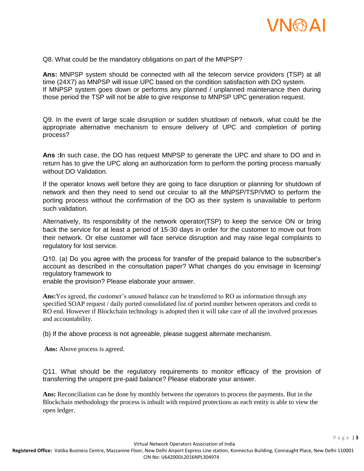

Q8. What could be the mandatory obligations on part of the MNPSP?

**Ans:** MNPSP system should be connected with all the telecom service providers (TSP) at all time (24X7) as MNPSP will issue UPC based on the condition satisfaction with DO system. If MNPSP system goes down or performs any planned / unplanned maintenance then during those period the TSP will not be able to give response to MNPSP UPC generation request.

Q9. In the event of large scale disruption or sudden shutdown of network, what could be the appropriate alternative mechanism to ensure delivery of UPC and completion of porting process?

**Ans :I**n such case, the DO has request MNPSP to generate the UPC and share to DO and in return has to give the UPC along an authorization form to perform the porting process manually without DO Validation.

If the operator knows well before they are going to face disruption or planning for shutdown of network and then they need to send out circular to all the MNPSP/TSP/VMO to perform the porting process without the confirmation of the DO as their system is unavailable to perform such validation.

Alternatively, Its responsibility of the network operator(TSP) to keep the service ON or bring back the service for at least a period of 15-30 days in order for the customer to move out from their network. Or else customer will face service disruption and may raise legal complaints to regulatory for lost service.

Q10. (a) Do you agree with the process for transfer of the prepaid balance to the subscriber's account as described in the consultation paper? What changes do you envisage in licensing/ regulatory framework to

enable the provision? Please elaborate your answer.

**Ans:**Yes agreed, the customer's unused balance can be transferred to RO as information through any specified SOAP request / daily ported consolidated list of ported number between operators and credit to RO end. However if Blockchain technology is adopted then it will take care of all the involved processes and accountability.

(b) If the above process is not agreeable, please suggest alternate mechanism.

**Ans:** Above process is agreed.

Q11. What should be the regulatory requirements to monitor efficacy of the provision of transferring the unspent pre-paid balance? Please elaborate your answer.

**Ans:** Reconciliation can be done by monthly between the operators to process the payments. But in the Blockchain methodology the process is inbuilt with required protections as each entity is able to view the open ledger.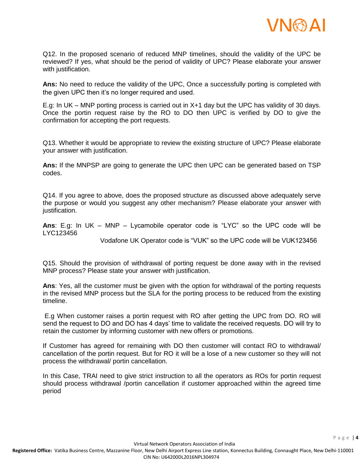

Q12. In the proposed scenario of reduced MNP timelines, should the validity of the UPC be reviewed? If yes, what should be the period of validity of UPC? Please elaborate your answer with justification.

**Ans:** No need to reduce the validity of the UPC, Once a successfully porting is completed with the given UPC then it's no longer required and used.

E.g: In UK – MNP porting process is carried out in X+1 day but the UPC has validity of 30 days. Once the portin request raise by the RO to DO then UPC is verified by DO to give the confirmation for accepting the port requests.

Q13. Whether it would be appropriate to review the existing structure of UPC? Please elaborate your answer with justification.

**Ans:** If the MNPSP are going to generate the UPC then UPC can be generated based on TSP codes.

Q14. If you agree to above, does the proposed structure as discussed above adequately serve the purpose or would you suggest any other mechanism? Please elaborate your answer with justification.

**Ans**: E.g: In UK – MNP – Lycamobile operator code is "LYC" so the UPC code will be LYC123456

Vodafone UK Operator code is "VUK" so the UPC code will be VUK123456

Q15. Should the provision of withdrawal of porting request be done away with in the revised MNP process? Please state your answer with justification.

**Ans**: Yes, all the customer must be given with the option for withdrawal of the porting requests in the revised MNP process but the SLA for the porting process to be reduced from the existing timeline.

E.g When customer raises a portin request with RO after getting the UPC from DO. RO will send the request to DO and DO has 4 days' time to validate the received requests. DO will try to retain the customer by informing customer with new offers or promotions.

If Customer has agreed for remaining with DO then customer will contact RO to withdrawal/ cancellation of the portin request. But for RO it will be a lose of a new customer so they will not process the withdrawal/ portin cancellation.

In this Case, TRAI need to give strict instruction to all the operators as ROs for portin request should process withdrawal /portin cancellation if customer approached within the agreed time period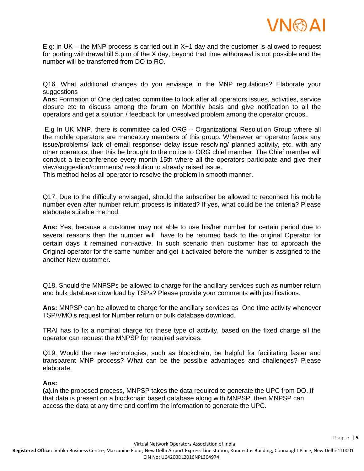

E.g: in UK – the MNP process is carried out in X+1 day and the customer is allowed to request for porting withdrawal till 5.p.m of the X day, beyond that time withdrawal is not possible and the number will be transferred from DO to RO.

Q16. What additional changes do you envisage in the MNP regulations? Elaborate your suggestions

**Ans:** Formation of One dedicated committee to look after all operators issues, activities, service closure etc to discuss among the forum on Monthly basis and give notification to all the operators and get a solution / feedback for unresolved problem among the operator groups..

E.g In UK MNP, there is committee called ORG – Organizational Resolution Group where all the mobile operators are mandatory members of this group. Whenever an operator faces any issue/problems/ lack of email response/ delay issue resolving/ planned activity, etc. with any other operators, then this be brought to the notice to ORG chief member. The Chief member will conduct a teleconference every month 15th where all the operators participate and give their view/suggestion/comments/ resolution to already raised issue.

This method helps all operator to resolve the problem in smooth manner.

Q17. Due to the difficulty envisaged, should the subscriber be allowed to reconnect his mobile number even after number return process is initiated? If yes, what could be the criteria? Please elaborate suitable method.

**Ans:** Yes, because a customer may not able to use his/her number for certain period due to several reasons then the number will have to be returned back to the original Operator for certain days it remained non-active. In such scenario then customer has to approach the Original operator for the same number and get it activated before the number is assigned to the another New customer.

Q18. Should the MNPSPs be allowed to charge for the ancillary services such as number return and bulk database download by TSPs? Please provide your comments with justifications.

**Ans:** MNPSP can be allowed to charge for the ancillary services as One time activity whenever TSP/VMO's request for Number return or bulk database download.

TRAI has to fix a nominal charge for these type of activity, based on the fixed charge all the operator can request the MNPSP for required services.

Q19. Would the new technologies, such as blockchain, be helpful for facilitating faster and transparent MNP process? What can be the possible advantages and challenges? Please elaborate.

#### **Ans:**

**(a).**In the proposed process, MNPSP takes the data required to generate the UPC from DO. If that data is present on a blockchain based database along with MNPSP, then MNPSP can access the data at any time and confirm the information to generate the UPC.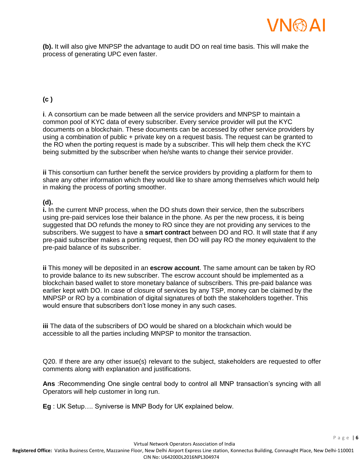

**(b).** It will also give MNPSP the advantage to audit DO on real time basis. This will make the process of generating UPC even faster.

## **(c )**

**i**. A consortium can be made between all the service providers and MNPSP to maintain a common pool of KYC data of every subscriber. Every service provider will put the KYC documents on a blockchain. These documents can be accessed by other service providers by using a combination of public + private key on a request basis. The request can be granted to the RO when the porting request is made by a subscriber. This will help them check the KYC being submitted by the subscriber when he/she wants to change their service provider.

**ii** This consortium can further benefit the service providers by providing a platform for them to share any other information which they would like to share among themselves which would help in making the process of porting smoother.

### **(d).**

**i.** In the current MNP process, when the DO shuts down their service, then the subscribers using pre-paid services lose their balance in the phone. As per the new process, it is being suggested that DO refunds the money to RO since they are not providing any services to the subscribers. We suggest to have a **smart contract** between DO and RO. It will state that if any pre-paid subscriber makes a porting request, then DO will pay RO the money equivalent to the pre-paid balance of its subscriber.

**ii** This money will be deposited in an **escrow account**. The same amount can be taken by RO to provide balance to its new subscriber. The escrow account should be implemented as a blockchain based wallet to store monetary balance of subscribers. This pre-paid balance was earlier kept with DO. In case of closure of services by any TSP, money can be claimed by the MNPSP or RO by a combination of digital signatures of both the stakeholders together. This would ensure that subscribers don't lose money in any such cases.

**iii** The data of the subscribers of DO would be shared on a blockchain which would be accessible to all the parties including MNPSP to monitor the transaction.

Q20. If there are any other issue(s) relevant to the subject, stakeholders are requested to offer comments along with explanation and justifications.

**Ans** :Recommending One single central body to control all MNP transaction's syncing with all Operators will help customer in long run.

**Eg** : UK Setup…. Syniverse is MNP Body for UK explained below.